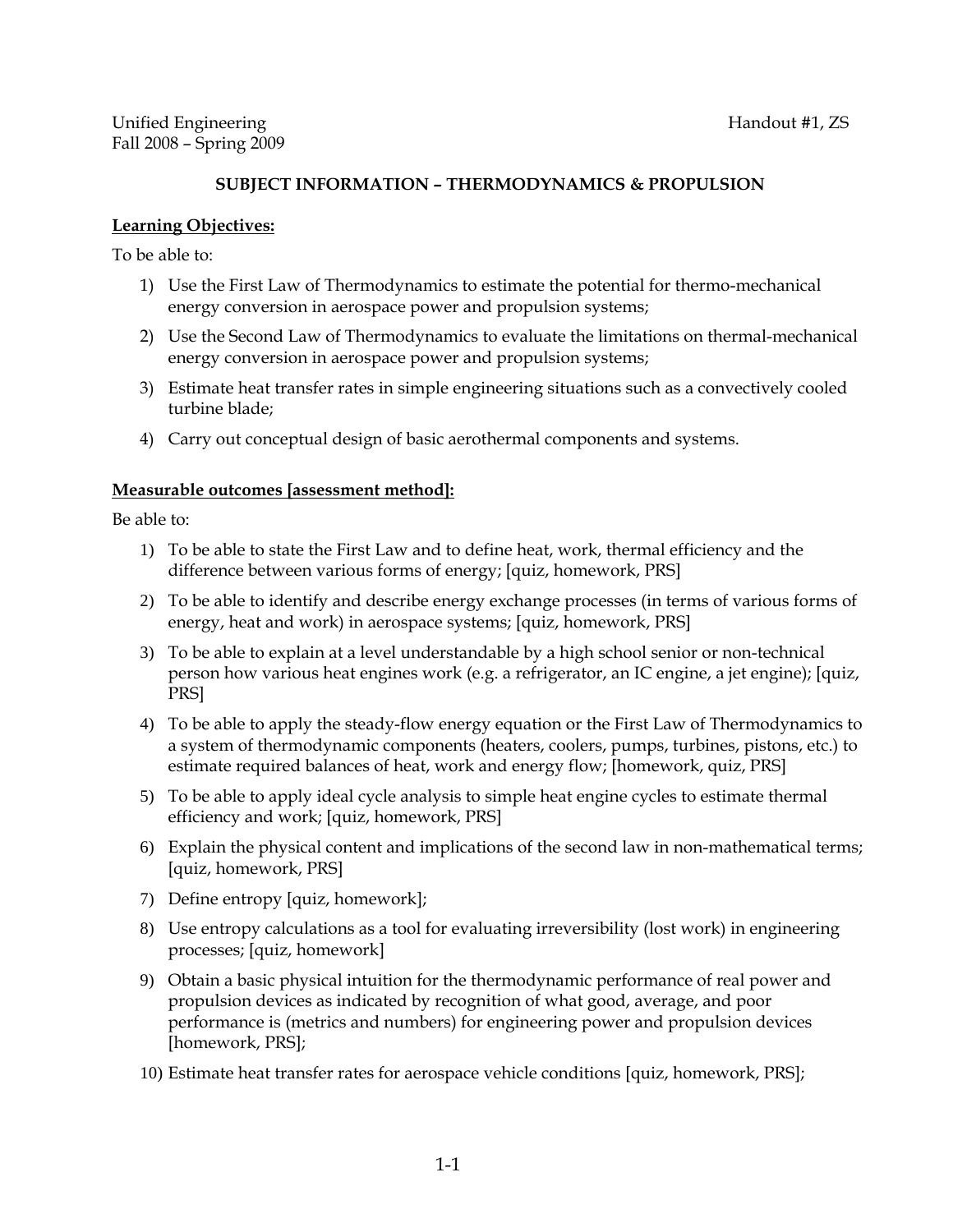# **SUBJECT INFORMATION – THERMODYNAMICS & PROPULSION**

## **Learning Objectives:**

To be able to:

- 1) Use the First Law of Thermodynamics to estimate the potential for thermo-mechanical energy conversion in aerospace power and propulsion systems;
- 2) Use the Second Law of Thermodynamics to evaluate the limitations on thermal-mechanical energy conversion in aerospace power and propulsion systems;
- 3) Estimate heat transfer rates in simple engineering situations such as a convectively cooled turbine blade;
- 4) Carry out conceptual design of basic aerothermal components and systems.

## **Measurable outcomes [assessment method]:**

Be able to:

- 1) To be able to state the First Law and to define heat, work, thermal efficiency and the difference between various forms of energy; [quiz, homework, PRS]
- 2) To be able to identify and describe energy exchange processes (in terms of various forms of energy, heat and work) in aerospace systems; [quiz, homework, PRS]
- 3) To be able to explain at a level understandable by a high school senior or non-technical person how various heat engines work (e.g. a refrigerator, an IC engine, a jet engine); [quiz, PRS]
- 4) To be able to apply the steady-flow energy equation or the First Law of Thermodynamics to a system of thermodynamic components (heaters, coolers, pumps, turbines, pistons, etc.) to estimate required balances of heat, work and energy flow; [homework, quiz, PRS]
- 5) To be able to apply ideal cycle analysis to simple heat engine cycles to estimate thermal efficiency and work; [quiz, homework, PRS]
- 6) Explain the physical content and implications of the second law in non-mathematical terms; [quiz, homework, PRS]
- 7) Define entropy [quiz, homework];
- 8) Use entropy calculations as a tool for evaluating irreversibility (lost work) in engineering processes; [quiz, homework]
- 9) Obtain a basic physical intuition for the thermodynamic performance of real power and propulsion devices as indicated by recognition of what good, average, and poor performance is (metrics and numbers) for engineering power and propulsion devices [homework, PRS];
- 10) Estimate heat transfer rates for aerospace vehicle conditions [quiz, homework, PRS];